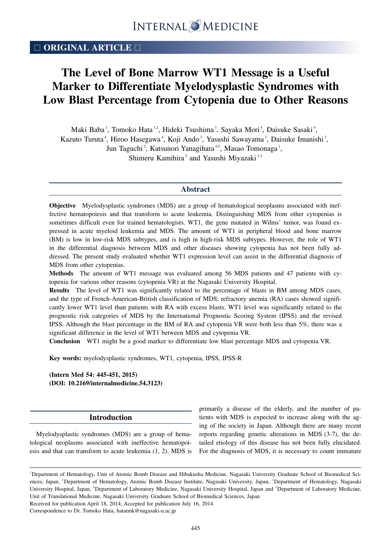## □ **ORIGINAL ARTICLE** □

# **The Level of Bone Marrow WT1 Message is a Useful Marker to Differentiate Myelodysplastic Syndromes with Low Blast Percentage from Cytopenia due to Other Reasons**

Maki Baba<sup>1</sup>, Tomoko Hata<sup>1,2</sup>, Hideki Tsushima<sup>3</sup>, Sayaka Mori<sup>4</sup>, Daisuke Sasaki<sup>4</sup>, Kazuto Turuta<sup>4</sup>, Hiroo Hasegawa<sup>4</sup>, Koji Ando<sup>3</sup>, Yasushi Sawayama<sup>3</sup>, Daisuke Imanishi<sup>3</sup>, Jun Taguchi<sup>2</sup>, Katsunori Yanagihara<sup>4,5</sup>, Masao Tomonaga<sup>1</sup>, Shimeru Kamihira<sup>5</sup> and Yasushi Miyazaki<sup>1-3</sup>

### **Abstract**

**Objective** Myelodysplastic syndromes (MDS) are a group of hematological neoplasms associated with ineffective hematopoiesis and that transform to acute leukemia. Distinguishing MDS from other cytopenias is sometimes difficult even for trained hematologists. WT1, the gene mutated in Wilms' tumor, was found expressed in acute myeloid leukemia and MDS. The amount of WT1 in peripheral blood and bone marrow (BM) is low in low-risk MDS subtypes, and is high in high-risk MDS subtypes. However, the role of WT1 in the differential diagnosis between MDS and other diseases showing cytopenia has not been fully addressed. The present study evaluated whether WT1 expression level can assist in the differential diagnosis of MDS from other cytopenias.

**Methods** The amount of WT1 message was evaluated among 56 MDS patients and 47 patients with cytopenia for various other reasons (cytopenia VR) at the Nagasaki University Hospital.

**Results** The level of WT1 was significantly related to the percentage of blasts in BM among MDS cases, and the type of French-American-British classification of MDS; refractory anemia (RA) cases showed significantly lower WT1 level than patients with RA with excess blasts. WT1 level was significantly related to the prognostic risk categories of MDS by the International Prognostic Scoring System (IPSS) and the revised IPSS. Although the blast percentage in the BM of RA and cytopenia VR were both less than 5%, there was a significant difference in the level of WT1 between MDS and cytopenia VR.

**Conclusion** WT1 might be a good marker to differentiate low blast percentage MDS and cytopenia VR.

**Key words:** myelodysplastic syndromes, WT1, cytopenia, IPSS, IPSS-R

**(Intern Med 54: 445-451, 2015) (DOI: 10.2169/internalmedicine.54.3123)**

### **Introduction**

Myelodysplastic syndromes (MDS) are a group of hematological neoplasms associated with ineffective hematopoiesis and that can transform to acute leukemia (1, 2). MDS is primarily a disease of the elderly, and the number of patients with MDS is expected to increase along with the aging of the society in Japan. Although there are many recent reports regarding genetic alterations in MDS (3-7), the detailed etiology of this disease has not been fully elucidated. For the diagnosis of MDS, it is necessary to count immature

Correspondence to Dr. Tomoko Hata, hatatmk@nagasaki-u.ac.jp

<sup>&</sup>lt;sup>1</sup>Department of Hematology, Unit of Atomic Bomb Disease and Hibakusha Medicine, Nagasaki University Graduate School of Biomedical Sciences, Japan, <sup>2</sup>Department of Hematology, Atomic Bomb Disease Institute, Nagasaki University, Japan, <sup>3</sup>Department of Hematology, Nagasaki University Hospital, Japan, <sup>4</sup>Department of Laboratory Medicine, Nagasaki University Hospital, Japan and <sup>5</sup>Department of Laboratory Medicine, Unit of Translational Medicine, Nagasaki University Graduate School of Biomedical Sciences, Japan Received for publication April 18, 2014; Accepted for publication July 16, 2014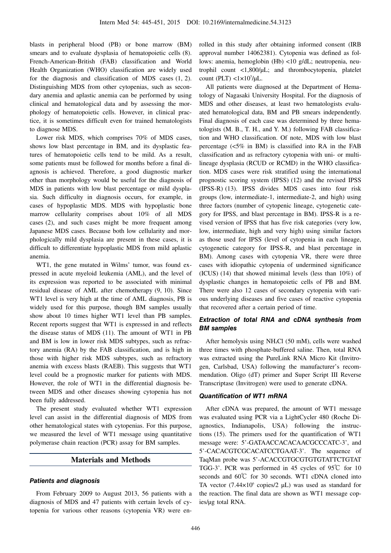blasts in peripheral blood (PB) or bone marrow (BM) smears and to evaluate dysplasia of hematopoietic cells (8). French-American-British (FAB) classification and World Health Organization (WHO) classification are widely used for the diagnosis and classification of MDS cases (1, 2). Distinguishing MDS from other cytopenias, such as secondary anemia and aplastic anemia can be performed by using clinical and hematological data and by assessing the morphology of hematopoietic cells. However, in clinical practice, it is sometimes difficult even for trained hematologists to diagnose MDS.

Lower risk MDS, which comprises 70% of MDS cases, shows low blast percentage in BM, and its dysplastic features of hematopoietic cells tend to be mild. As a result, some patients must be followed for months before a final diagnosis is achieved. Therefore, a good diagnostic marker other than morphology would be useful for the diagnosis of MDS in patients with low blast percentage or mild dysplasia. Such difficulty in diagnosis occurs, for example, in cases of hypoplastic MDS. MDS with hypoplastic bone marrow cellularity comprises about 10% of all MDS cases (2), and such cases might be more frequent among Japanese MDS cases. Because both low cellularity and morphologically mild dysplasia are present in these cases, it is difficult to differentiate hypoplastic MDS from mild aplastic anemia.

WT1, the gene mutated in Wilms' tumor, was found expressed in acute myeloid leukemia (AML), and the level of its expression was reported to be associated with minimal residual disease of AML after chemotherapy (9, 10). Since WT1 level is very high at the time of AML diagnosis, PB is widely used for this purpose, though BM samples usually show about 10 times higher WT1 level than PB samples. Recent reports suggest that WT1 is expressed in and reflects the disease status of MDS (11). The amount of WT1 in PB and BM is low in lower risk MDS subtypes, such as refractory anemia (RA) by the FAB classification, and is high in those with higher risk MDS subtypes, such as refractory anemia with excess blasts (RAEB). This suggests that WT1 level could be a prognostic marker for patients with MDS. However, the role of WT1 in the differential diagnosis between MDS and other diseases showing cytopenia has not been fully addressed.

The present study evaluated whether WT1 expression level can assist in the differential diagnosis of MDS from other hematological states with cytopenias. For this purpose, we measured the level of WT1 message using quantitative polymerase chain reaction (PCR) assay for BM samples.

## **Materials and Methods**

### **Patients and diagnosis**

From February 2009 to August 2013, 56 patients with a diagnosis of MDS and 47 patients with certain levels of cytopenia for various other reasons (cytopenia VR) were enrolled in this study after obtaining informed consent (IRB approval number 14062381). Cytopenia was defined as follows: anemia, hemoglobin (Hb) <10 g/dL; neutropenia, neutrophil count <1,800/μL; and thrombocytopenia, platelet count (PLT)  $\langle 1 \times 10^5 / \mu L$ .

All patients were diagnosed at the Department of Hematology of Nagasaki University Hospital. For the diagnosis of MDS and other diseases, at least two hematologists evaluated hematological data, BM and PB smears independently. Final diagnosis of each case was determined by three hematologists (M. B., T. H., and Y. M.) following FAB classification and WHO classification. Of note, MDS with low blast percentage (<5% in BM) is classified into RA in the FAB classification and as refractory cytopenia with uni- or multilineage dysplasia (RCUD or RCMD) in the WHO classification. MDS cases were risk stratified using the international prognostic scoring system (IPSS) (12) and the revised IPSS (IPSS-R) (13). IPSS divides MDS cases into four risk groups (low, intermediate-1, intermediate-2, and high) using three factors (number of cytopenic lineage, cytogenetic category for IPSS, and blast percentage in BM). IPSS-R is a revised version of IPSS that has five risk categories (very low, low, intermediate, high and very high) using similar factors as those used for IPSS (level of cytopenia in each lineage, cytogenetic category for IPSS-R, and blast percentage in BM). Among cases with cytopenia VR, there were three cases with idiopathic cytopenia of undermined significance (ICUS) (14) that showed minimal levels (less than 10%) of dysplastic changes in hematopoietic cells of PB and BM. There were also 12 cases of secondary cytopenia with various underlying diseases and five cases of reactive cytopenia that recovered after a certain period of time.

## **Extraction of total RNA and cDNA synthesis from BM samples**

After hemolysis using NH4Cl (50 mM), cells were washed three times with phosphate-buffered saline. Then, total RNA was extracted using the PureLink RNA Micro Kit (Invitrogen, Carlsbad, USA) following the manufacturer's recommendation. Oligo (dT) primer and Super Script III Reverse Transcriptase (Invitrogen) were used to generate cDNA.

#### **Quantification of WT1 mRNA**

After cDNA was prepared, the amount of WT1 message was evaluated using PCR via a LightCycler 480 (Roche Diagnostics, Indianapolis, USA) following the instructions (15). The primers used for the quantification of WT1 message were: 5'-GATAACCACACAACGCCCATC-3', and 5'-CACACGTCGCACATCCTGAAT-3'. The sequence of TaqMan probe was 5'-ACACCGTGCGTGTGTATTCTGTAT TGG-3'. PCR was performed in 45 cycles of 95℃ for 10 seconds and 60℃ for 30 seconds. WT1 cDNA cloned into TA vector  $(7.44 \times 10^6 \text{ copies/2 }\mu\text{L})$  was used as standard for the reaction. The final data are shown as WT1 message copies/μg total RNA.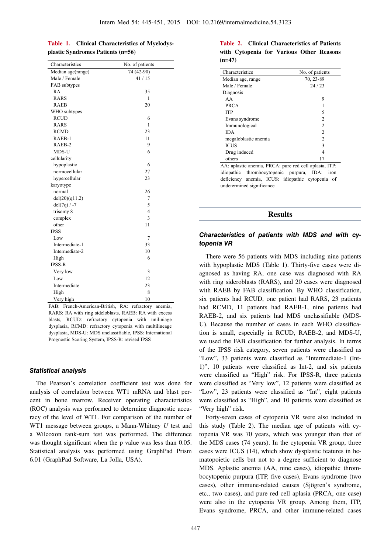|  | Table 1. Clinical Characteristics of Myelodys- |  |
|--|------------------------------------------------|--|
|  | plastic Syndromes Patients $(n=56)$            |  |

| Characteristics   | No. of patients |
|-------------------|-----------------|
| Median age(range) | 74 (42-90)      |
| Male / Female     | 41/15           |
| FAB subtypes      |                 |
| RA                | 35              |
| <b>RARS</b>       | 1               |
| <b>RAEB</b>       | 20              |
| WHO subtypes      |                 |
| <b>RCUD</b>       | 6               |
| <b>RARS</b>       | 1               |
| <b>RCMD</b>       | 23              |
| RAEB-1            | 11              |
| RAEB-2            | 9               |
| MDS-U             | 6               |
| cellularity       |                 |
| hypoplastic       | 6               |
| normocellular     | 27              |
| hypercellular     | 23              |
| karyotype         |                 |
| normal            | 26              |
| del(20)(q11.2)    | 7               |
| $del(7q) / -7$    | 5               |
| trisomy 8         | 4               |
| complex           | 3               |
| other             | 11              |
| <b>IPSS</b>       |                 |
| Low               | 7               |
| Intermediate-1    | 33              |
| Intermediate-2    | 10              |
| High              | 6               |
| <b>IPSS-R</b>     |                 |
| Very low          | 3               |
| Low               | 12              |
| Intermediate      | 23              |
| High              | 8               |
| Very high         | 10              |

FAB: French-American-British, RA: refractory anemia, RARS: RA with ring sideloblasts, RAEB: RA with excess blasts, RCUD: refractory cytopenia with uniliniage dysplasia, RCMD: refractory cytopenia with multilineage dysplasia, MDS-U: MDS unclassifiable, IPSS: International Prognostic Scoring System, IPSS-R: revised IPSS

## **Statistical analysis**

The Pearson's correlation coefficient test was done for analysis of correlation between WT1 mRNA and blast percent in bone marrow. Receiver operating characteristics (ROC) analysis was performed to determine diagnostic accuracy of the level of WT1. For comparison of the number of WT1 message between groups, a Mann-Whitney *U* test and a Wilcoxon rank-sum test was performed. The difference was thought significant when the p value was less than 0.05. Statistical analysis was performed using GraphPad Prism 6.01 (GraphPad Software, La Jolla, USA).

## **Table 2. Clinical Characteristics of Patients with Cytopenia for Various Other Reasons (n=47)**

| Characteristics      | No. of patients |  |  |
|----------------------|-----------------|--|--|
| Median age, range    | 70, 23-89       |  |  |
| Male / Female        | 24/23           |  |  |
| Diagnosis            |                 |  |  |
| AA                   | 9               |  |  |
| <b>PRCA</b>          |                 |  |  |
| <b>ITP</b>           | 5               |  |  |
| Evans syndrome       | $\mathfrak{D}$  |  |  |
| Immunological        | $\mathfrak{D}$  |  |  |
| IDA                  | 2               |  |  |
| megaloblastic anemia | $\mathfrak{D}$  |  |  |
| ICUS                 | 3               |  |  |
| Drug induced         | 4               |  |  |
| others               |                 |  |  |

AA: aplastic anemia, PRCA: pure red cell aplasia, ITP: idiopathic thrombocytopenic purpura, IDA: iron deficiency anemia, ICUS: idiopathic cytopenia of undetermined significance

## **Results**

## **Characteristics of patients with MDS and with cytopenia VR**

There were 56 patients with MDS including nine patients with hypoplastic MDS (Table 1). Thirty-five cases were diagnosed as having RA, one case was diagnosed with RA with ring sideroblasts (RARS), and 20 cases were diagnosed with RAEB by FAB classification. By WHO classification, six patients had RCUD, one patient had RARS, 23 patients had RCMD, 11 patients had RAEB-1, nine patients had RAEB-2, and six patients had MDS unclassifiable (MDS-U). Because the number of cases in each WHO classification is small, especially in RCUD, RAEB-2, and MDS-U, we used the FAB classification for further analysis. In terms of the IPSS risk category, seven patients were classified as "Low", 33 patients were classified as "Intermediate-1 (Int-1)", 10 patients were classified as Int-2, and six patients were classified as "High" risk. For IPSS-R, three patients were classified as "Very low", 12 patients were classified as "Low", 23 patients were classified as "Int", eight patients were classified as "High", and 10 patients were classified as "Very high" risk.

Forty-seven cases of cytopenia VR were also included in this study (Table 2). The median age of patients with cytopenia VR was 70 years, which was younger than that of the MDS cases (74 years). In the cytopenia VR group, three cases were ICUS (14), which show dysplastic features in hematopoietic cells but not to a degree sufficient to diagnose MDS. Aplastic anemia (AA, nine cases), idiopathic thrombocytopenic purpura (ITP, five cases), Evans syndrome (two cases), other immune-related causes (Sjögren's syndrome, etc., two cases), and pure red cell aplasia (PRCA, one case) were also in the cytopenia VR group. Among them, ITP, Evans syndrome, PRCA, and other immune-related cases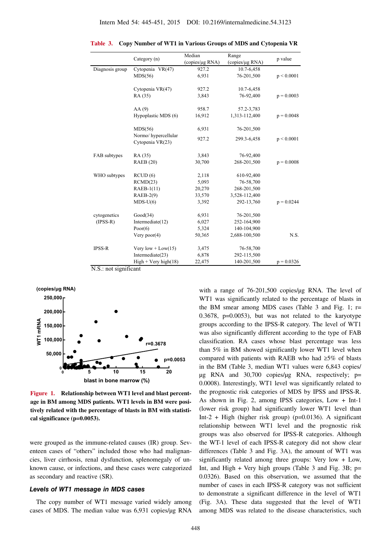|                 |                                         | Median          | Range           | p value      |
|-----------------|-----------------------------------------|-----------------|-----------------|--------------|
|                 | Category (n)                            | (copies/µg RNA) | (copies/µg RNA) |              |
| Diagnosis group | Cytopenia VR(47)                        | 927.2           | 10.7-6,458      |              |
|                 | MDS(56)                                 | 6,931           | 76-201,500      | p < 0.0001   |
|                 | Cytopenia VR(47)                        | 927.2           | 10.7-6,458      |              |
|                 | RA (35)                                 | 3,843           | 76-92,400       | $p = 0.0003$ |
|                 | AA(9)                                   | 958.7           | 57.2-3,783      |              |
|                 | Hypoplastic MDS (6)                     | 16,912          | 1,313-112,400   | $p = 0.0048$ |
|                 | MDS(56)                                 | 6,931           | 76-201,500      |              |
|                 | Normo/hypercellular<br>Cytopenia VR(23) | 927.2           | 299.3-6,458     | p < 0.0001   |
| FAB subtypes    | RA (35)                                 | 3,843           | 76-92,400       |              |
|                 | <b>RAEB</b> (20)                        | 30,700          | 268-201,500     | $p = 0.0008$ |
| WHO subtypes    | RCUD(6)                                 | 2,118           | 610-92,400      |              |
|                 | RCMD(23)                                | 5,093           | 76-58,700       |              |
|                 | $RAEB-1(11)$                            | 20,270          | 268-201,500     |              |
|                 | $RAEB-2(9)$                             | 33,570          | 3,528-112,400   |              |
|                 | $MDS-U(6)$                              | 3,392           | 292-13,760      | $p = 0.0244$ |
| cytogenetics    | Good(34)                                | 6,931           | 76-201,500      |              |
| $(IPSS-R)$      | Intermediate(12)                        | 6,027           | 252-164,900     |              |
|                 | Poor $(6)$                              | 5,324           | 140-104,900     |              |
|                 | Very poor $(4)$                         | 50,365          | 2,688-100,500   | N.S.         |
| <b>IPSS-R</b>   | Very low + $Low(15)$                    | 3,475           | 76-58,700       |              |
|                 | Intermediate(23)                        | 6,878           | 292-115,500     |              |
|                 | $High + Very high(18)$                  | 22,475          | 140-201,500     | $p = 0.0326$ |

**Table 3. Copy Number of WT1 in Various Groups of MDS and Cytopenia VR**

N.S.: not significant



**Figure 1. Relationship between WT1 level and blast percentage in BM among MDS patients. WT1 levels in BM were positively related with the percentage of blasts in BM with statistical significance (p=0.0053).**

were grouped as the immune-related causes (IR) group. Seventeen cases of "others" included those who had malignancies, liver cirrhosis, renal dysfunction, splenomegaly of unknown cause, or infections, and these cases were categorized as secondary and reactive (SR).

### **Levels of WT1 message in MDS cases**

The copy number of WT1 message varied widely among cases of MDS. The median value was 6,931 copies/μg RNA

with a range of 76-201,500 copies/μg RNA. The level of WT1 was significantly related to the percentage of blasts in the BM smear among MDS cases (Table 3 and Fig. 1; r= 0.3678, p=0.0053), but was not related to the karyotype groups according to the IPSS-R category. The level of WT1 was also significantly different according to the type of FAB classification. RA cases whose blast percentage was less than 5% in BM showed significantly lower WT1 level when compared with patients with RAEB who had  $\geq$ 5% of blasts in the BM (Table 3, median WT1 values were 6,843 copies/ μg RNA and  $30,700$  copies/μg RNA, respectively; p= 0.0008). Interestingly, WT1 level was significantly related to the prognostic risk categories of MDS by IPSS and IPSS-R. As shown in Fig. 2, among IPSS categories, Low + Int-1 (lower risk group) had significantly lower WT1 level than Int-2 + High (higher risk group) ( $p=0.0136$ ). A significant relationship between WT1 level and the prognostic risk groups was also observed for IPSS-R categories. Although the WT-1 level of each IPSS-R category did not show clear differences (Table 3 and Fig. 3A), the amount of WT1 was significantly related among three groups: Very low + Low, Int, and High + Very high groups (Table 3 and Fig. 3B;  $p=$ 0.0326). Based on this observation, we assumed that the number of cases in each IPSS-R category was not sufficient to demonstrate a significant difference in the level of WT1 (Fig. 3A). These data suggested that the level of WT1 among MDS was related to the disease characteristics, such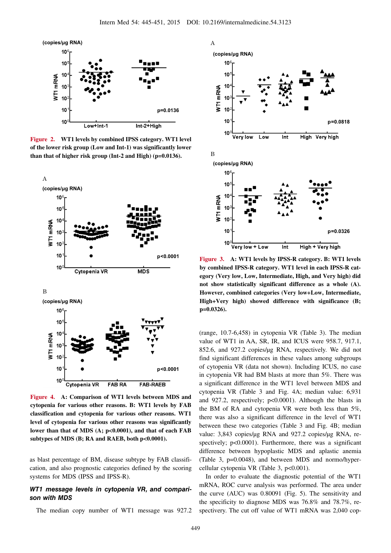

**Figure 2. WT1 levels by combined IPSS category. WT1 level of the lower risk group (Low and Int-1) was significantly lower than that of higher risk group (Int-2 and High) (p=0.0136).**



**Figure 4. A: Comparison of WT1 levels between MDS and cytopenia for various other reasons. B: WT1 levels by FAB classification and cytopenia for various other reasons. WT1 level of cytopenia for various other reasons was significantly lower than that of MDS (A; p<0.0001), and that of each FAB subtypes of MDS (B; RA and RAEB, both p<0.0001).**

as blast percentage of BM, disease subtype by FAB classification, and also prognostic categories defined by the scoring systems for MDS (IPSS and IPSS-R).

## **WT1 message levels in cytopenia VR, and comparison with MDS**

The median copy number of WT1 message was 927.2



**Figure 3. A: WT1 levels by IPSS-R category. B: WT1 levels by combined IPSS-R category. WT1 level in each IPSS-R category (Very low, Low, Intermediate, High, and Very high) did not show statistically significant difference as a whole (A). However, combined categories (Very low+Low, Intermediate, High+Very high) showed difference with significance (B; p=0.0326).**

(range, 10.7-6,458) in cytopenia VR (Table 3). The median value of WT1 in AA, SR, IR, and ICUS were 958.7, 917.1, 852.6, and 927.2 copies/μg RNA, respectively. We did not find significant differences in these values among subgroups of cytopenia VR (data not shown). Including ICUS, no case in cytopenia VR had BM blasts at more than 5%. There was a significant difference in the WT1 level between MDS and cytopenia VR (Table 3 and Fig. 4A; median value: 6,931 and 927.2, respectively; p<0.0001). Although the blasts in the BM of RA and cytopenia VR were both less than 5%, there was also a significant difference in the level of WT1 between these two categories (Table 3 and Fig. 4B; median value: 3,843 copies/μg RNA and 927.2 copies/μg RNA, respectively; p<0.0001). Furthermore, there was a significant difference between hypoplastic MDS and aplastic anemia (Table 3, p=0.0048), and between MDS and normo/hypercellular cytopenia VR (Table 3, p<0.001).

In order to evaluate the diagnostic potential of the WT1 mRNA, ROC curve analysis was performed. The area under the curve (AUC) was 0.80091 (Fig. 5). The sensitivity and the specificity to diagnose MDS was 76.8% and 78.7%, respectivery. The cut off value of WT1 mRNA was 2,040 cop-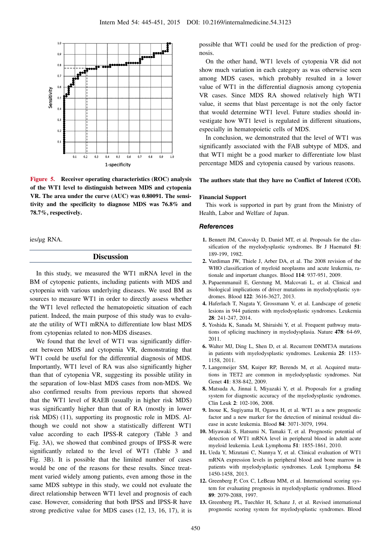

**Figure 5. Receiver operating characteristics (ROC) analysis of the WT1 level to distinguish between MDS and cytopenia VR. The area under the curve (AUC) was 0.80091. The sensitivity and the specificity to diagnose MDS was 76.8% and 78.7%, respectively.**

ies/μg RNA.

## **Discussion**

In this study, we measured the WT1 mRNA level in the BM of cytopenic patients, including patients with MDS and cytopenia with various underlying diseases. We used BM as sources to measure WT1 in order to directly assess whether the WT1 level reflected the hematopoietic situation of each patient. Indeed, the main purpose of this study was to evaluate the utility of WT1 mRNA to differentiate low blast MDS from cytopenias related to non-MDS diseases.

We found that the level of WT1 was significantly different between MDS and cytopenia VR, demonstrating that WT1 could be useful for the differential diagnosis of MDS. Importantly, WT1 level of RA was also significantly higher than that of cytopenia VR, suggesting its possible utility in the separation of low-blast MDS cases from non-MDS. We also confirmed results from previous reports that showed that the WT1 level of RAEB (usually in higher risk MDS) was significantly higher than that of RA (mostly in lower risk MDS) (11), supporting its prognostic role in MDS. Although we could not show a statistically different WT1 value according to each IPSS-R category (Table 3 and Fig. 3A), we showed that combined groups of IPSS-R were significantly related to the level of WT1 (Table 3 and Fig. 3B). It is possible that the limited number of cases would be one of the reasons for these results. Since treatment varied widely among patients, even among those in the same MDS subtype in this study, we could not evaluate the direct relationship between WT1 level and prognosis of each case. However, considering that both IPSS and IPSS-R have strong predictive value for MDS cases (12, 13, 16, 17), it is

possible that WT1 could be used for the prediction of prognosis.

On the other hand, WT1 levels of cytopenia VR did not show much variation in each category as was otherwise seen among MDS cases, which probably resulted in a lower value of WT1 in the differential diagnosis among cytopenia VR cases. Since MDS RA showed relatively high WT1 value, it seems that blast percentage is not the only factor that would determine WT1 level. Future studies should investigate how WT1 level is regulated in different situations, especially in hematopoietic cells of MDS.

In conclusion, we demonstrated that the level of WT1 was significantly associated with the FAB subtype of MDS, and that WT1 might be a good marker to differentiate low blast percentage MDS and cytopenia caused by various reasons.

#### **The authors state that they have no Conflict of Interest (COI).**

#### **Financial Support**

This work is supported in part by grant from the Ministry of Health, Labor and Welfare of Japan.

#### **References**

- **1.** Bennett JM, Catovsky D, Daniel MT, et al. Proposals for the classification of the myelodysplastic syndromes. Br J Haematol **51**: 189-199, 1982.
- **2.** Vardiman JW, Thiele J, Arber DA, et al. The 2008 revision of the WHO classification of myeloid neoplasms and acute leukemia, rationale and important changes. Blood **114**: 937-951, 2009.
- **3.** Papaemmanuil E, Gerstung M, Malcovati L, et al. Clinical and biological implications of driver mutations in myelodysplastic syndromes. Blood **122**: 3616-3627, 2013.
- **4.** Haferlach T, Nagata Y, Grossmann V, et al. Landscape of genetic lesions in 944 patients with myelodysplastic syndromes. Leukemia **28**: 241-247, 2014.
- **5.** Yoshida K, Sanada M, Shiraishi Y, et al. Frequent pathway mutations of splicing machinery in myelodysplasia. Nature **478**: 64-69, 2011.
- **6.** Walter MJ, Ding L, Shen D, et al. Recurrent DNMT3A mutations in patients with myelodysplastic syndromes. Leukemia **25**: 1153- 1158, 2011.
- **7.** Langemeijer SM, Kuiper RP, Berends M, et al. Acquired mutations in TET2 are common in myelodysplastic syndromes. Nat Genet **41**: 838-842, 2009.
- **8.** Matsuda A, Jinnai I, Miyazaki Y, et al. Proposals for a grading system for diagnostic accuracy of the myelodysplastic syndromes. Clin Leuk **2**: 102-106, 2008.
- **9.** Inoue K, Sugiyama H, Ogawa H, et al. WT1 as a new prognostic factor and a new marker for the detection of minimal residual disease in acute leukemia. Blood **84**: 3071-3079, 1994.
- **10.** Miyawaki S, Hatsumi N, Tamaki T, et al. Prognostic potential of detection of WT1 mRNA level in peripheral blood in adult acute myeloid leukemia. Leuk Lymphoma **51**: 1855-1861, 2010.
- **11.** Ueda Y, Mizutani C, Nannya Y, et al. Clinical evaluation of WT1 mRNA expression levels in peripheral blood and bone marrow in patients with myelodysplastic syndromes. Leuk Lymphoma **54**: 1450-1458, 2013.
- **12.** Greenberg P, Cox C, LeBeau MM, et al. International scoring system for evaluating prognosis in myelodysplastic syndromes. Blood **89**: 2079-2088, 1997.
- **13.** Greenberg PL, Tuechler H, Schanz J, et al. Revised international prognostic scoring system for myelodysplastic syndromes. Blood